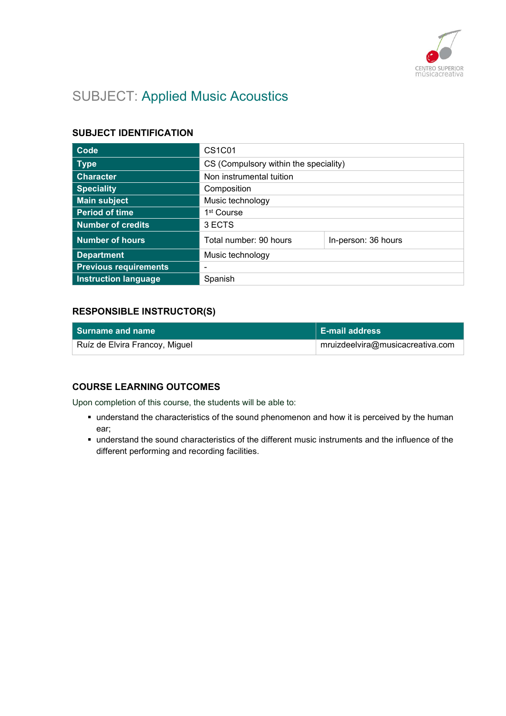

# SUBJECT: Applied Music Acoustics

### SUBJECT IDENTIFICATION

| Code                         | CS <sub>1</sub> C <sub>01</sub>       |                     |
|------------------------------|---------------------------------------|---------------------|
| <b>Type</b>                  | CS (Compulsory within the speciality) |                     |
| <b>Character</b>             | Non instrumental tuition              |                     |
| <b>Speciality</b>            | Composition                           |                     |
| <b>Main subject</b>          | Music technology                      |                     |
| <b>Period of time</b>        | 1 <sup>st</sup> Course                |                     |
| <b>Number of credits</b>     | 3 ECTS                                |                     |
| <b>Number of hours</b>       | Total number: 90 hours                | In-person: 36 hours |
| <b>Department</b>            | Music technology                      |                     |
| <b>Previous requirements</b> | -                                     |                     |
| <b>Instruction language</b>  | Spanish                               |                     |

### RESPONSIBLE INSTRUCTOR(S)

| l Surname and name             | <b>E-mail address</b>            |
|--------------------------------|----------------------------------|
| Ruíz de Elvira Francoy, Miguel | mruizdeelvira@musicacreativa.com |

# COURSE LEARNING OUTCOMES

Upon completion of this course, the students will be able to:

- understand the characteristics of the sound phenomenon and how it is perceived by the human ear;
- understand the sound characteristics of the different music instruments and the influence of the different performing and recording facilities.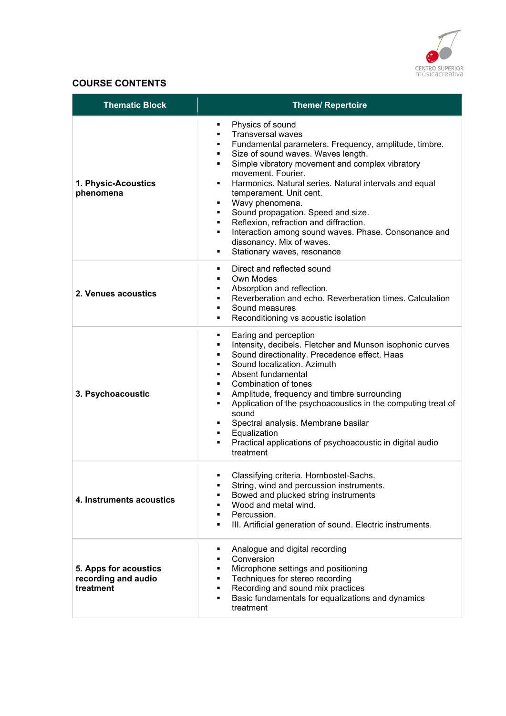

# COURSE CONTENTS

| <b>Thematic Block</b>                                     | <b>Theme/ Repertoire</b>                                                                                                                                                                                                                                                                                                                                                                                                                                                                                                                                                                                |
|-----------------------------------------------------------|---------------------------------------------------------------------------------------------------------------------------------------------------------------------------------------------------------------------------------------------------------------------------------------------------------------------------------------------------------------------------------------------------------------------------------------------------------------------------------------------------------------------------------------------------------------------------------------------------------|
| 1. Physic-Acoustics<br>phenomena                          | Physics of sound<br>٠<br><b>Transversal waves</b><br>٠<br>Fundamental parameters. Frequency, amplitude, timbre.<br>Size of sound waves. Waves length.<br>Simple vibratory movement and complex vibratory<br>٠<br>movement. Fourier.<br>Harmonics. Natural series. Natural intervals and equal<br>٠<br>temperament. Unit cent.<br>Wavy phenomena.<br>٠<br>Sound propagation. Speed and size.<br>$\blacksquare$<br>Reflexion, refraction and diffraction.<br>٠<br>Interaction among sound waves. Phase. Consonance and<br>$\blacksquare$<br>dissonancy. Mix of waves.<br>Stationary waves, resonance<br>٠ |
| 2. Venues acoustics                                       | Direct and reflected sound<br>٠<br>Own Modes<br>٠<br>Absorption and reflection.<br>٠<br>Reverberation and echo. Reverberation times. Calculation<br>$\blacksquare$<br>Sound measures<br>$\blacksquare$<br>Reconditioning vs acoustic isolation                                                                                                                                                                                                                                                                                                                                                          |
| 3. Psychoacoustic                                         | Earing and perception<br>٠<br>Intensity, decibels. Fletcher and Munson isophonic curves<br>٠<br>Sound directionality. Precedence effect. Haas<br>٠<br>Sound localization. Azimuth<br>٠<br>Absent fundamental<br>Combination of tones<br>Amplitude, frequency and timbre surrounding<br>٠<br>Application of the psychoacoustics in the computing treat of<br>٠<br>sound<br>Spectral analysis. Membrane basilar<br>٠<br>Equalization<br>$\blacksquare$<br>Practical applications of psychoacoustic in digital audio<br>treatment                                                                          |
| 4. Instruments acoustics                                  | Classifying criteria. Hornbostel-Sachs<br>String, wind and percussion instruments.<br>٠<br>Bowed and plucked string instruments<br>Wood and metal wind.<br>Percussion.<br>III. Artificial generation of sound. Electric instruments.<br>٠                                                                                                                                                                                                                                                                                                                                                               |
| 5. Apps for acoustics<br>recording and audio<br>treatment | Analogue and digital recording<br>٠<br>Conversion<br>٠<br>Microphone settings and positioning<br>٠<br>Techniques for stereo recording<br>٠<br>Recording and sound mix practices<br>٠<br>Basic fundamentals for equalizations and dynamics<br>٠<br>treatment                                                                                                                                                                                                                                                                                                                                             |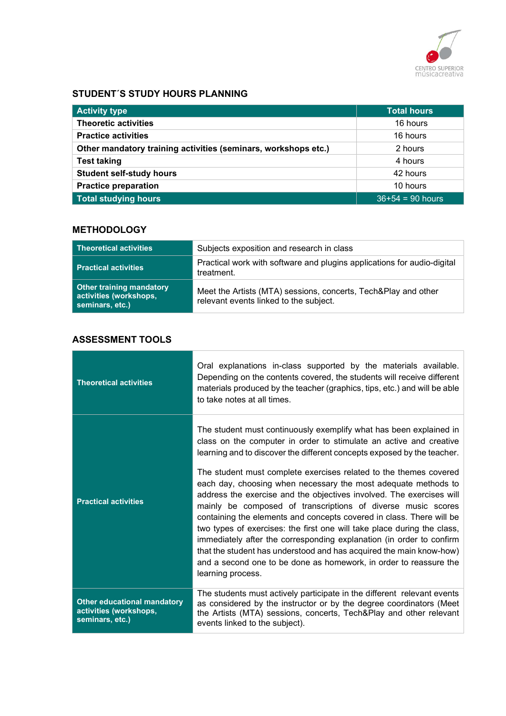

### STUDENT´S STUDY HOURS PLANNING

| <b>Activity type</b>                                           | <b>Total hours</b> |
|----------------------------------------------------------------|--------------------|
| <b>Theoretic activities</b>                                    | 16 hours           |
| <b>Practice activities</b>                                     | 16 hours           |
| Other mandatory training activities (seminars, workshops etc.) | 2 hours            |
| <b>Test taking</b>                                             | 4 hours            |
| <b>Student self-study hours</b>                                | 42 hours           |
| <b>Practice preparation</b>                                    | 10 hours           |
| <b>Total studying hours</b>                                    | $36+54 = 90$ hours |

# **METHODOLOGY**

| <b>Theoretical activities</b>                                                | Subjects exposition and research in class                                                                |
|------------------------------------------------------------------------------|----------------------------------------------------------------------------------------------------------|
| <b>Practical activities</b>                                                  | Practical work with software and plugins applications for audio-digital<br>treatment.                    |
| <b>Other training mandatory</b><br>activities (workshops,<br>seminars, etc.) | Meet the Artists (MTA) sessions, concerts, Tech&Play and other<br>relevant events linked to the subject. |

# ASSESSMENT TOOLS

| <b>Theoretical activities</b>                                                   | Oral explanations in-class supported by the materials available.<br>Depending on the contents covered, the students will receive different<br>materials produced by the teacher (graphics, tips, etc.) and will be able<br>to take notes at all times.                                                                                                                                                                                                                                                                                                                                                                                                                                                                                                                                                                                                                                         |
|---------------------------------------------------------------------------------|------------------------------------------------------------------------------------------------------------------------------------------------------------------------------------------------------------------------------------------------------------------------------------------------------------------------------------------------------------------------------------------------------------------------------------------------------------------------------------------------------------------------------------------------------------------------------------------------------------------------------------------------------------------------------------------------------------------------------------------------------------------------------------------------------------------------------------------------------------------------------------------------|
| <b>Practical activities</b>                                                     | The student must continuously exemplify what has been explained in<br>class on the computer in order to stimulate an active and creative<br>learning and to discover the different concepts exposed by the teacher.<br>The student must complete exercises related to the themes covered<br>each day, choosing when necessary the most adequate methods to<br>address the exercise and the objectives involved. The exercises will<br>mainly be composed of transcriptions of diverse music scores<br>containing the elements and concepts covered in class. There will be<br>two types of exercises: the first one will take place during the class,<br>immediately after the corresponding explanation (in order to confirm<br>that the student has understood and has acquired the main know-how)<br>and a second one to be done as homework, in order to reassure the<br>learning process. |
| <b>Other educational mandatory</b><br>activities (workshops,<br>seminars, etc.) | The students must actively participate in the different relevant events<br>as considered by the instructor or by the degree coordinators (Meet<br>the Artists (MTA) sessions, concerts, Tech&Play and other relevant<br>events linked to the subject).                                                                                                                                                                                                                                                                                                                                                                                                                                                                                                                                                                                                                                         |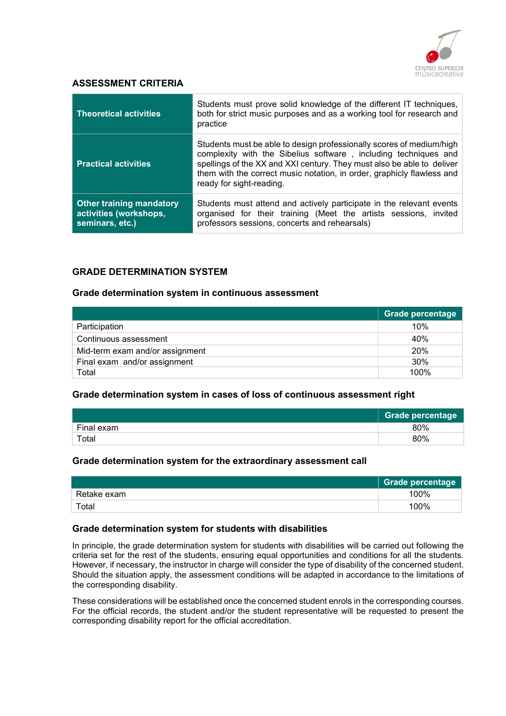

#### ASSESSMENT CRITERIA

| <b>Theoretical activities</b>                                                | Students must prove solid knowledge of the different IT techniques,<br>both for strict music purposes and as a working tool for research and<br>practice                                                                                                                                                                |
|------------------------------------------------------------------------------|-------------------------------------------------------------------------------------------------------------------------------------------------------------------------------------------------------------------------------------------------------------------------------------------------------------------------|
| <b>Practical activities</b>                                                  | Students must be able to design professionally scores of medium/high<br>complexity with the Sibelius software, including techniques and<br>spellings of the XX and XXI century. They must also be able to deliver<br>them with the correct music notation, in order, graphicly flawless and<br>ready for sight-reading. |
| <b>Other training mandatory</b><br>activities (workshops,<br>seminars, etc.) | Students must attend and actively participate in the relevant events<br>organised for their training (Meet the artists sessions, invited<br>professors sessions, concerts and rehearsals)                                                                                                                               |

#### GRADE DETERMINATION SYSTEM

#### Grade determination system in continuous assessment

|                                 | <b>Grade percentage</b> |
|---------------------------------|-------------------------|
| Participation                   | 10%                     |
| Continuous assessment           | 40%                     |
| Mid-term exam and/or assignment | 20%                     |
| Final exam and/or assignment    | 30%                     |
| Total                           | 100%                    |

#### Grade determination system in cases of loss of continuous assessment right

|             | <b>Grade percentage</b> |
|-------------|-------------------------|
| Final exam  | 80%                     |
| $\tau$ otal | 80%                     |

#### Grade determination system for the extraordinary assessment call

|             | Grade percentage |
|-------------|------------------|
| Retake exam | 100%             |
| Total       | 100%             |

#### Grade determination system for students with disabilities

In principle, the grade determination system for students with disabilities will be carried out following the criteria set for the rest of the students, ensuring equal opportunities and conditions for all the students. However, if necessary, the instructor in charge will consider the type of disability of the concerned student. Should the situation apply, the assessment conditions will be adapted in accordance to the limitations of the corresponding disability.

These considerations will be established once the concerned student enrols in the corresponding courses. For the official records, the student and/or the student representative will be requested to present the corresponding disability report for the official accreditation.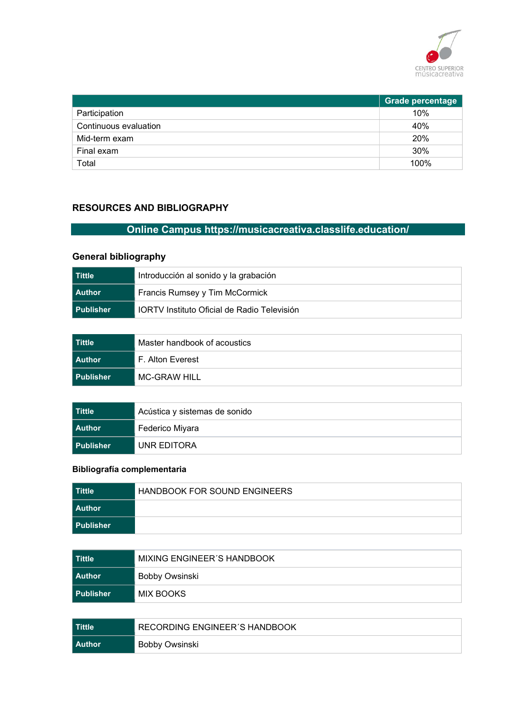

|                       | <b>Grade percentage</b> |
|-----------------------|-------------------------|
| Participation         | 10%                     |
| Continuous evaluation | 40%                     |
| Mid-term exam         | 20%                     |
| Final exam            | 30%                     |
| Total                 | 100%                    |

### RESOURCES AND BIBLIOGRAPHY

# Online Campus https://musicacreativa.classlife.education/

# General bibliography

| l Tittle    | Introducción al sonido y la grabación              |
|-------------|----------------------------------------------------|
| l Author    | Francis Rumsey y Tim McCormick                     |
| l Publisher | <b>IORTV</b> Instituto Oficial de Radio Televisión |

| l Tittle    | Master handbook of acoustics |
|-------------|------------------------------|
| l Author    | F. Alton Everest             |
| l Publisher | MC-GRAW HILL                 |

| l Tittle    | Acústica y sistemas de sonido |
|-------------|-------------------------------|
| l Author    | Federico Miyara               |
| l Publisher | UNR EDITORA                   |

# Bibliografía complementaria

| ∣ Tittle    | <b>HANDBOOK FOR SOUND ENGINEERS</b> |
|-------------|-------------------------------------|
| l Author    |                                     |
| l Publisher |                                     |

| l Tittle    | MIXING ENGINEER'S HANDBOOK |
|-------------|----------------------------|
| l Author    | Bobby Owsinski             |
| l Publisher | MIX BOOKS                  |

| l Tittle | RECORDING ENGINEER'S HANDBOOK |
|----------|-------------------------------|
| l Author | Bobby Owsinski                |